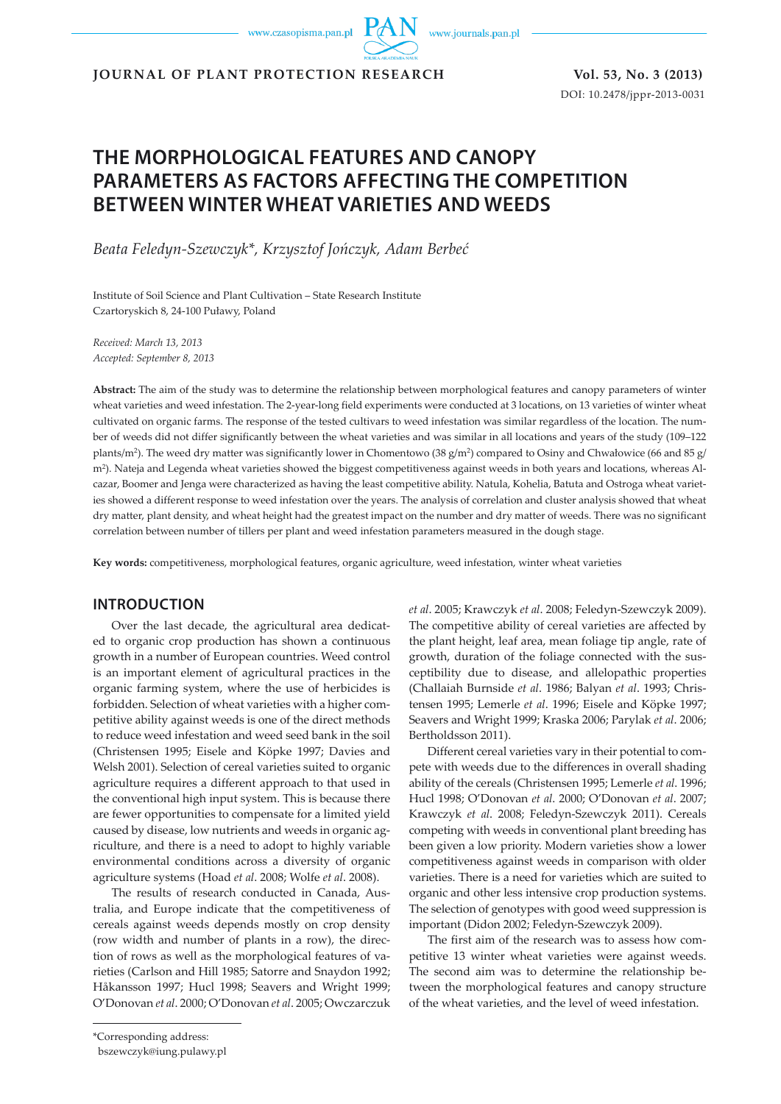www.journals.pan.pl

**JOURNAL OF PLANT PROTECTION RESEARCH Vol. 53, No. 3 (2013)**

DOI: 10.2478/jppr-2013-0031

# **THE MORPHOLOGICAL FEATURES AND CANOPY PARAMETERS AS FACTORS AFFECTING THE COMPETITION BETWEEN WINTER WHEAT VARIETIES AND WEEDS**

*Beata Feledyn-Szewczyk\*, Krzysztof Jończyk, Adam Berbeć*

Institute of Soil Science and Plant Cultivation – State Research Institute Czartoryskich 8, 24-100 Puławy, Poland

*Received: March 13, 2013 Accepted: September 8, 2013*

**Abstract:** The aim of the study was to determine the relationship between morphological features and canopy parameters of winter wheat varieties and weed infestation. The 2-year-long field experiments were conducted at 3 locations, on 13 varieties of winter wheat cultivated on organic farms. The response of the tested cultivars to weed infestation was similar regardless of the location. The number of weeds did not differ significantly between the wheat varieties and was similar in all locations and years of the study (109–122 plants/m<sup>2</sup>). The weed dry matter was significantly lower in Chomentowo (38 g/m<sup>2</sup>) compared to Osiny and Chwałowice (66 and 85 g/ m2). Nateja and Legenda wheat varieties showed the biggest competitiveness against weeds in both years and locations, whereas Alcazar, Boomer and Jenga were characterized as having the least competitive ability. Natula, Kohelia, Batuta and Ostroga wheat varieties showed a different response to weed infestation over the years. The analysis of correlation and cluster analysis showed that wheat dry matter, plant density, and wheat height had the greatest impact on the number and dry matter of weeds. There was no significant correlation between number of tillers per plant and weed infestation parameters measured in the dough stage.

**Key words:** competitiveness, morphological features, organic agriculture, weed infestation, winter wheat varieties

## **INTRODUCTION**

Over the last decade, the agricultural area dedicated to organic crop production has shown a continuous growth in a number of European countries. Weed control is an important element of agricultural practices in the organic farming system, where the use of herbicides is forbidden. Selection of wheat varieties with a higher competitive ability against weeds is one of the direct methods to reduce weed infestation and weed seed bank in the soil (Christensen 1995; Eisele and Köpke 1997; Davies and Welsh 2001). Selection of cereal varieties suited to organic agriculture requires a different approach to that used in the conventional high input system. This is because there are fewer opportunities to compensate for a limited yield caused by disease, low nutrients and weeds in organic agriculture, and there is a need to adopt to highly variable environmental conditions across a diversity of organic agriculture systems (Hoad *et al*. 2008; Wolfe *et al*. 2008).

The results of research conducted in Canada, Australia, and Europe indicate that the competitiveness of cereals against weeds depends mostly on crop density (row width and number of plants in a row), the direction of rows as well as the morphological features of varieties (Carlson and Hill 1985; Satorre and Snaydon 1992; Håkansson 1997; Hucl 1998; Seavers and Wright 1999; O'Donovan *et al*. 2000; O'Donovan *et al*. 2005; Owczarczuk *et al*. 2005; Krawczyk *et al*. 2008; Feledyn-Szewczyk 2009). The competitive ability of cereal varieties are affected by the plant height, leaf area, mean foliage tip angle, rate of growth, duration of the foliage connected with the susceptibility due to disease, and allelopathic properties (Challaiah Burnside *et al*. 1986; Balyan *et al*. 1993; Christensen 1995; Lemerle *et al*. 1996; Eisele and Köpke 1997; Seavers and Wright 1999; Kraska 2006; Parylak *et al*. 2006; Bertholdsson 2011).

Different cereal varieties vary in their potential to compete with weeds due to the differences in overall shading ability of the cereals (Christensen 1995; Lemerle *et al*. 1996; Hucl 1998; O'Donovan *et al*. 2000; O'Donovan *et al*. 2007; Krawczyk *et al*. 2008; Feledyn-Szewczyk 2011). Cereals competing with weeds in conventional plant breeding has been given a low priority. Modern varieties show a lower competitiveness against weeds in comparison with older varieties. There is a need for varieties which are suited to organic and other less intensive crop production systems. The selection of genotypes with good weed suppression is important (Didon 2002; Feledyn-Szewczyk 2009).

The first aim of the research was to assess how competitive 13 winter wheat varieties were against weeds. The second aim was to determine the relationship between the morphological features and canopy structure of the wheat varieties, and the level of weed infestation.

<sup>\*</sup>Corresponding address:

bszewczyk@iung.pulawy.pl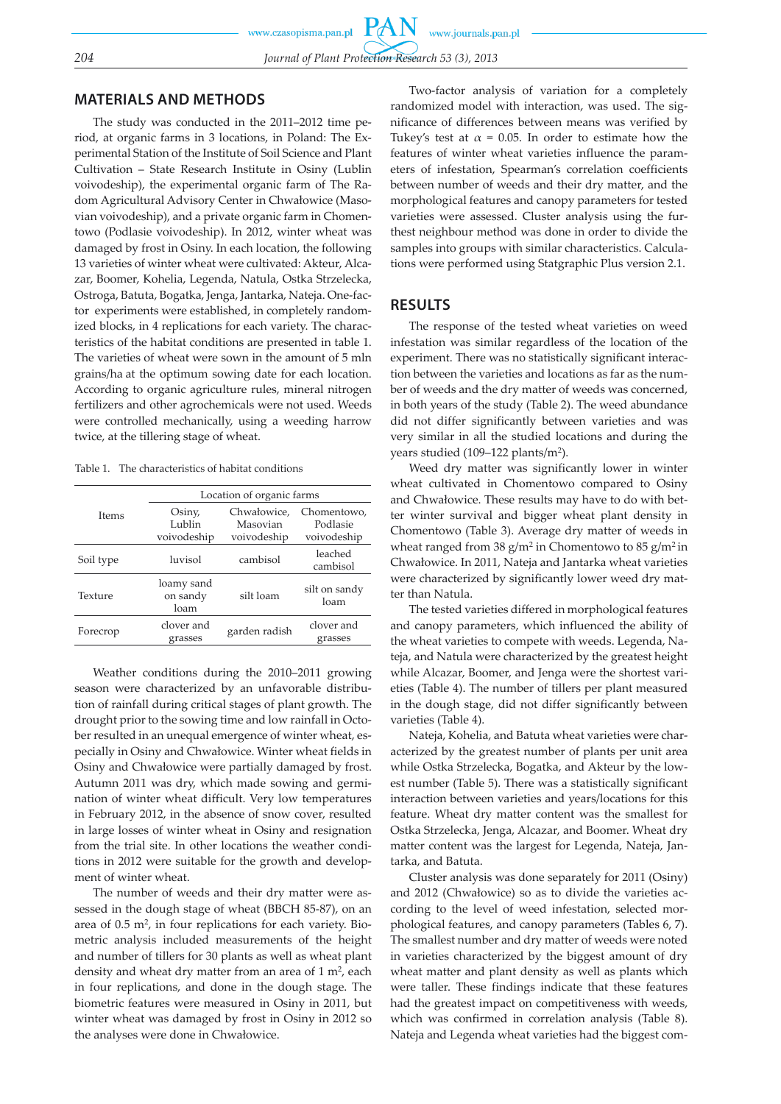## **MATERIALS AND METHODS**

The study was conducted in the 2011–2012 time period, at organic farms in 3 locations, in Poland: The Experimental Station of the Institute of Soil Science and Plant Cultivation – State Research Institute in Osiny (Lublin voivodeship), the experimental organic farm of The Radom Agricultural Advisory Center in Chwałowice (Masovian voivodeship), and a private organic farm in Chomentowo (Podlasie voivodeship). In 2012, winter wheat was damaged by frost in Osiny. In each location, the following 13 varieties of winter wheat were cultivated: Akteur, Alcazar, Boomer, Kohelia, Legenda, Natula, Ostka Strzelecka, Ostroga, Batuta, Bogatka, Jenga, Jantarka, Nateja. One-factor experiments were established, in completely randomized blocks, in 4 replications for each variety. The characteristics of the habitat conditions are presented in table 1. The varieties of wheat were sown in the amount of 5 mln grains/ha at the optimum sowing date for each location. According to organic agriculture rules, mineral nitrogen fertilizers and other agrochemicals were not used. Weeds were controlled mechanically, using a weeding harrow twice, at the tillering stage of wheat.

Table 1. The characteristics of habitat conditions

| Location of organic farms      |               |                       |  |  |  |  |
|--------------------------------|---------------|-----------------------|--|--|--|--|
| Osiny,                         | Chwałowice,   | Chomentowo,           |  |  |  |  |
| Lublin                         | Masovian      | Podlasie              |  |  |  |  |
| voivodeship                    | voivodeship   | voivodeship           |  |  |  |  |
| luvisol                        | cambisol      | leached<br>cambisol   |  |  |  |  |
| loamy sand<br>on sandy<br>loam | silt loam     | silt on sandy<br>loam |  |  |  |  |
| clover and<br>grasses          | garden radish | clover and<br>grasses |  |  |  |  |
|                                |               |                       |  |  |  |  |

Weather conditions during the 2010–2011 growing season were characterized by an unfavorable distribution of rainfall during critical stages of plant growth. The drought prior to the sowing time and low rainfall in October resulted in an unequal emergence of winter wheat, especially in Osiny and Chwałowice. Winter wheat fields in Osiny and Chwałowice were partially damaged by frost. Autumn 2011 was dry, which made sowing and germination of winter wheat difficult. Very low temperatures in February 2012, in the absence of snow cover, resulted in large losses of winter wheat in Osiny and resignation from the trial site. In other locations the weather conditions in 2012 were suitable for the growth and development of winter wheat.

The number of weeds and their dry matter were assessed in the dough stage of wheat (BBCH 85-87), on an area of 0.5 m2, in four replications for each variety. Biometric analysis included measurements of the height and number of tillers for 30 plants as well as wheat plant density and wheat dry matter from an area of  $1 \text{ m}^2$ , each in four replications, and done in the dough stage. The biometric features were measured in Osiny in 2011, but winter wheat was damaged by frost in Osiny in 2012 so the analyses were done in Chwałowice.

Two-factor analysis of variation for a completely randomized model with interaction, was used. The significance of differences between means was verified by Tukey's test at  $\alpha$  = 0.05. In order to estimate how the features of winter wheat varieties influence the parameters of infestation, Spearman's correlation coefficients between number of weeds and their dry matter, and the morphological features and canopy parameters for tested varieties were assessed. Cluster analysis using the furthest neighbour method was done in order to divide the samples into groups with similar characteristics. Calculations were performed using Statgraphic Plus version 2.1.

### **RESULTS**

The response of the tested wheat varieties on weed infestation was similar regardless of the location of the experiment. There was no statistically significant interaction between the varieties and locations as far as the number of weeds and the dry matter of weeds was concerned, in both years of the study (Table 2). The weed abundance did not differ significantly between varieties and was very similar in all the studied locations and during the years studied (109–122 plants/m2).

Weed dry matter was significantly lower in winter wheat cultivated in Chomentowo compared to Osiny and Chwałowice. These results may have to do with better winter survival and bigger wheat plant density in Chomentowo (Table 3). Average dry matter of weeds in wheat ranged from  $38 \text{ g/m}^2$  in Chomentowo to  $85 \text{ g/m}^2$  in Chwałowice. In 2011, Nateja and Jantarka wheat varieties were characterized by significantly lower weed dry matter than Natula.

The tested varieties differed in morphological features and canopy parameters, which influenced the ability of the wheat varieties to compete with weeds. Legenda, Nateja, and Natula were characterized by the greatest height while Alcazar, Boomer, and Jenga were the shortest varieties (Table 4). The number of tillers per plant measured in the dough stage, did not differ significantly between varieties (Table 4).

Nateja, Kohelia, and Batuta wheat varieties were characterized by the greatest number of plants per unit area while Ostka Strzelecka, Bogatka, and Akteur by the lowest number (Table 5). There was a statistically significant interaction between varieties and years/locations for this feature. Wheat dry matter content was the smallest for Ostka Strzelecka, Jenga, Alcazar, and Boomer. Wheat dry matter content was the largest for Legenda, Nateja, Jantarka, and Batuta.

Cluster analysis was done separately for 2011 (Osiny) and 2012 (Chwałowice) so as to divide the varieties according to the level of weed infestation, selected morphological features, and canopy parameters (Tables 6, 7). The smallest number and dry matter of weeds were noted in varieties characterized by the biggest amount of dry wheat matter and plant density as well as plants which were taller. These findings indicate that these features had the greatest impact on competitiveness with weeds, which was confirmed in correlation analysis (Table 8). Nateja and Legenda wheat varieties had the biggest com-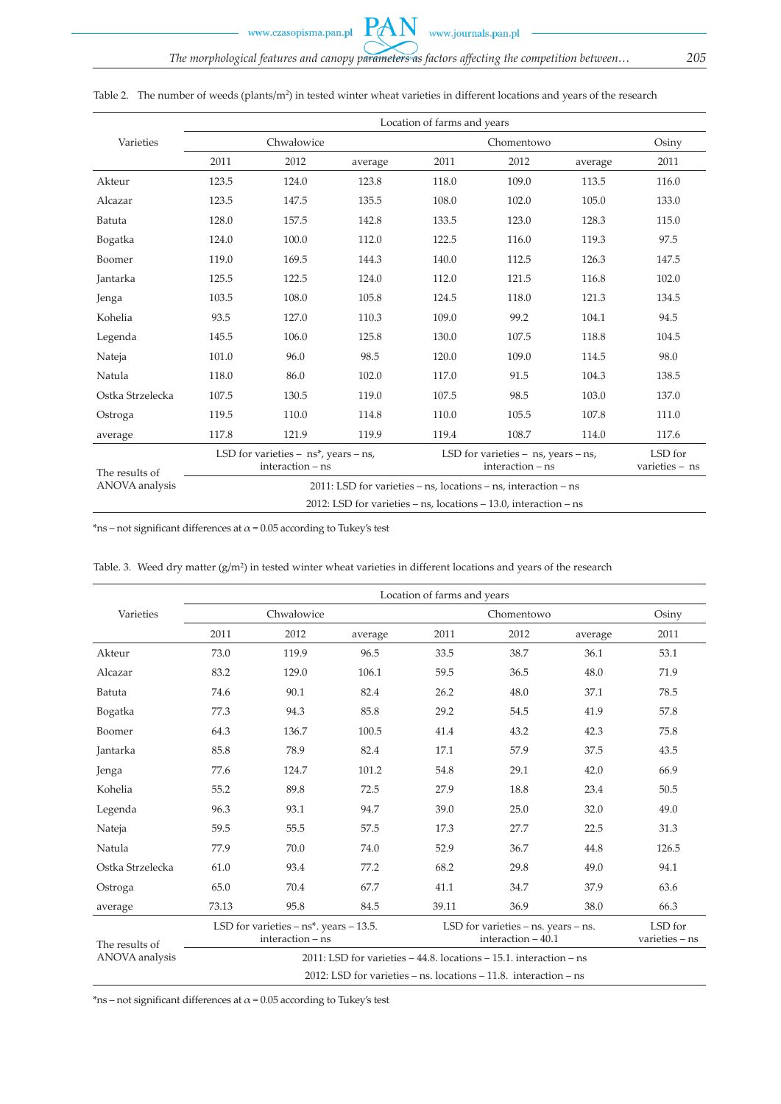www.journals.pan.pl

PAN

|                  |       |                                                                           |                                                                        | Location of farms and years                                 |            |         |                           |
|------------------|-------|---------------------------------------------------------------------------|------------------------------------------------------------------------|-------------------------------------------------------------|------------|---------|---------------------------|
| Varieties        |       | Chwałowice                                                                |                                                                        |                                                             | Chomentowo |         | Osiny                     |
|                  | 2011  | 2012                                                                      | average                                                                | 2011                                                        | 2012       | average | 2011                      |
| Akteur           | 123.5 | 124.0                                                                     | 123.8                                                                  | 118.0                                                       | 109.0      | 113.5   | 116.0                     |
| Alcazar          | 123.5 | 147.5                                                                     | 135.5                                                                  | 108.0                                                       | 102.0      | 105.0   | 133.0                     |
| Batuta           | 128.0 | 157.5                                                                     | 142.8                                                                  | 133.5                                                       | 123.0      | 128.3   | 115.0                     |
| Bogatka          | 124.0 | 100.0                                                                     | 112.0                                                                  | 122.5                                                       | 116.0      | 119.3   | 97.5                      |
| Boomer           | 119.0 | 169.5                                                                     | 144.3                                                                  | 140.0                                                       | 112.5      | 126.3   | 147.5                     |
| Jantarka         | 125.5 | 122.5                                                                     | 124.0                                                                  | 112.0                                                       | 121.5      | 116.8   | 102.0                     |
| Jenga            | 103.5 | 108.0                                                                     | 105.8                                                                  | 124.5                                                       | 118.0      | 121.3   | 134.5                     |
| Kohelia          | 93.5  | 127.0                                                                     | 110.3                                                                  | 109.0                                                       | 99.2       | 104.1   | 94.5                      |
| Legenda          | 145.5 | 106.0                                                                     | 125.8                                                                  | 130.0                                                       | 107.5      | 118.8   | 104.5                     |
| Nateja           | 101.0 | 96.0                                                                      | 98.5                                                                   | 120.0                                                       | 109.0      | 114.5   | 98.0                      |
| Natula           | 118.0 | 86.0                                                                      | 102.0                                                                  | 117.0                                                       | 91.5       | 104.3   | 138.5                     |
| Ostka Strzelecka | 107.5 | 130.5                                                                     | 119.0                                                                  | 107.5                                                       | 98.5       | 103.0   | 137.0                     |
| Ostroga          | 119.5 | 110.0                                                                     | 114.8                                                                  | 110.0                                                       | 105.5      | 107.8   | 111.0                     |
| average          | 117.8 | 121.9                                                                     | 119.9                                                                  | 119.4                                                       | 108.7      | 114.0   | 117.6                     |
| The results of   |       | LSD for varieties $-$ ns <sup>*</sup> , years $-$ ns,<br>interaction - ns |                                                                        | LSD for varieties $-$ ns, years $-$ ns,<br>interaction - ns |            |         | LSD for<br>varieties - ns |
| ANOVA analysis   |       |                                                                           | $2011$ : LSD for varieties – ns, locations – ns, interaction – ns      |                                                             |            |         |                           |
|                  |       |                                                                           | 2012: LSD for varieties $-$ ns, locations $-$ 13.0, interaction $-$ ns |                                                             |            |         |                           |

Table 2. The number of weeds (plants/m<sup>2</sup>) in tested winter wheat varieties in different locations and years of the research

\*ns – not significant differences at  $\alpha$  = 0.05 according to Tukey's test

|                  | Location of farms and years |                                                                   |                                                                             |                                                                  |                                                            |         |                             |  |  |  |
|------------------|-----------------------------|-------------------------------------------------------------------|-----------------------------------------------------------------------------|------------------------------------------------------------------|------------------------------------------------------------|---------|-----------------------------|--|--|--|
| Varieties        |                             | Chwałowice                                                        |                                                                             |                                                                  | Chomentowo                                                 |         | Osiny                       |  |  |  |
|                  | 2011                        | 2012                                                              | average                                                                     | 2011                                                             | 2012                                                       | average | 2011                        |  |  |  |
| Akteur           | 73.0                        | 119.9                                                             | 96.5                                                                        | 33.5                                                             | 38.7                                                       | 36.1    | 53.1                        |  |  |  |
| Alcazar          | 83.2                        | 129.0                                                             | 106.1                                                                       | 59.5                                                             | 36.5                                                       | 48.0    | 71.9                        |  |  |  |
| Batuta           | 74.6                        | 90.1                                                              | 82.4                                                                        | 26.2                                                             | 48.0                                                       | 37.1    | 78.5                        |  |  |  |
| Bogatka          | 77.3                        | 94.3                                                              | 85.8                                                                        | 29.2                                                             | 54.5                                                       | 41.9    | 57.8                        |  |  |  |
| Boomer           | 64.3                        | 136.7                                                             | 100.5                                                                       | 41.4                                                             | 43.2                                                       | 42.3    | 75.8                        |  |  |  |
| Jantarka         | 85.8                        | 78.9                                                              | 82.4                                                                        | 17.1                                                             | 57.9                                                       | 37.5    | 43.5                        |  |  |  |
| Jenga            | 77.6                        | 124.7                                                             | 101.2                                                                       | 54.8                                                             | 29.1                                                       | 42.0    | 66.9                        |  |  |  |
| Kohelia          | 55.2                        | 89.8                                                              | 72.5                                                                        | 27.9                                                             | 18.8                                                       | 23.4    | 50.5                        |  |  |  |
| Legenda          | 96.3                        | 93.1                                                              | 94.7                                                                        | 39.0                                                             | 25.0                                                       | 32.0    | 49.0                        |  |  |  |
| Nateja           | 59.5                        | 55.5                                                              | 57.5                                                                        | 17.3                                                             | 27.7                                                       | 22.5    | 31.3                        |  |  |  |
| Natula           | 77.9                        | 70.0                                                              | 74.0                                                                        | 52.9                                                             | 36.7                                                       | 44.8    | 126.5                       |  |  |  |
| Ostka Strzelecka | 61.0                        | 93.4                                                              | 77.2                                                                        | 68.2                                                             | 29.8                                                       | 49.0    | 94.1                        |  |  |  |
| Ostroga          | 65.0                        | 70.4                                                              | 67.7                                                                        | 41.1                                                             | 34.7                                                       | 37.9    | 63.6                        |  |  |  |
| average          | 73.13                       | 95.8                                                              | 84.5                                                                        | 39.11                                                            | 36.9                                                       | 38.0    | 66.3                        |  |  |  |
| The results of   |                             | LSD for varieties $- ns^*$ . years $- 13.5$ .<br>interaction - ns |                                                                             |                                                                  | LSD for varieties - ns. years - ns.<br>interaction $-40.1$ |         | LSD for<br>$varieties - ns$ |  |  |  |
| ANOVA analysis   |                             |                                                                   | $2011$ : LSD for varieties $-44.8$ . locations $-15.1$ . interaction $-$ ns |                                                                  |                                                            |         |                             |  |  |  |
|                  |                             |                                                                   |                                                                             | 2012: LSD for varieties – ns. locations – 11.8. interaction – ns |                                                            |         |                             |  |  |  |

Table. 3. Weed dry matter (g/m<sup>2</sup>) in tested winter wheat varieties in different locations and years of the research

\*ns – not significant differences at  $\alpha$  = 0.05 according to Tukey's test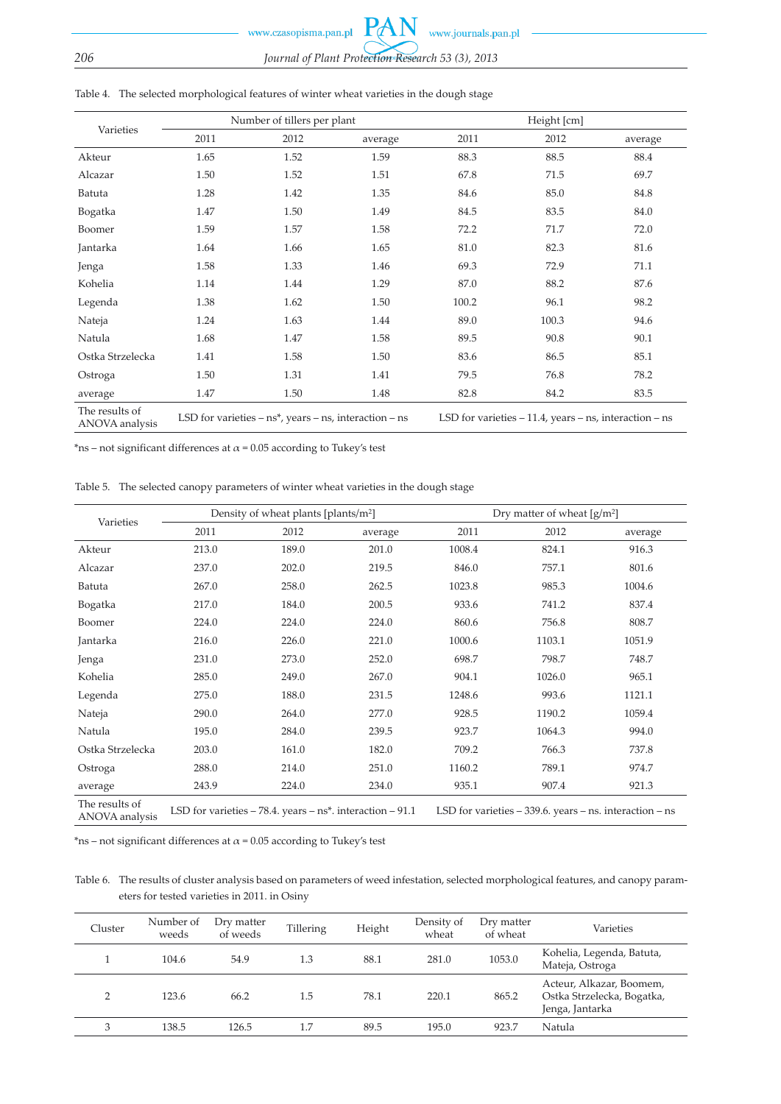| Varieties                        |                                                                | Number of tillers per plant |         | Height [cm]                                                  |       |         |  |
|----------------------------------|----------------------------------------------------------------|-----------------------------|---------|--------------------------------------------------------------|-------|---------|--|
|                                  | 2011                                                           | 2012                        | average | 2011                                                         | 2012  | average |  |
| Akteur                           | 1.65                                                           | 1.52                        | 1.59    | 88.3                                                         | 88.5  | 88.4    |  |
| Alcazar                          | 1.50                                                           | 1.52                        | 1.51    | 67.8                                                         | 71.5  | 69.7    |  |
| Batuta                           | 1.28                                                           | 1.42                        | 1.35    | 84.6                                                         | 85.0  | 84.8    |  |
| Bogatka                          | 1.47                                                           | 1.50                        | 1.49    | 84.5                                                         | 83.5  | 84.0    |  |
| Boomer                           | 1.59                                                           | 1.57                        | 1.58    | 72.2                                                         | 71.7  | 72.0    |  |
| Jantarka                         | 1.64                                                           | 1.66                        | 1.65    | 81.0                                                         | 82.3  | 81.6    |  |
| Jenga                            | 1.58                                                           | 1.33                        | 1.46    | 69.3                                                         | 72.9  | 71.1    |  |
| Kohelia                          | 1.14                                                           | 1.44                        | 1.29    | 87.0                                                         | 88.2  | 87.6    |  |
| Legenda                          | 1.38                                                           | 1.62                        | 1.50    | 100.2                                                        | 96.1  | 98.2    |  |
| Nateja                           | 1.24                                                           | 1.63                        | 1.44    | 89.0                                                         | 100.3 | 94.6    |  |
| Natula                           | 1.68                                                           | 1.47                        | 1.58    | 89.5                                                         | 90.8  | 90.1    |  |
| Ostka Strzelecka                 | 1.41                                                           | 1.58                        | 1.50    | 83.6                                                         | 86.5  | 85.1    |  |
| Ostroga                          | 1.50                                                           | 1.31                        | 1.41    | 79.5                                                         | 76.8  | 78.2    |  |
| average                          | 1.47                                                           | 1.50                        | 1.48    | 82.8                                                         | 84.2  | 83.5    |  |
| The results of<br>ANOVA analysis | LSD for varieties $- ns^*$ , years $- ns$ , interaction $- ns$ |                             |         | LSD for varieties $-11.4$ , years $-$ ns, interaction $-$ ns |       |         |  |

#### Table 4. The selected morphological features of winter wheat varieties in the dough stage

\*ns – not significant differences at  $\alpha$  = 0.05 according to Tukey's test

Table 5. The selected canopy parameters of winter wheat varieties in the dough stage

| Varieties                        |                                                                  | Density of wheat plants [plants/m <sup>2</sup> ] |                                                               | Dry matter of wheat $\left[\frac{g}{m^2}\right]$ |        |         |  |
|----------------------------------|------------------------------------------------------------------|--------------------------------------------------|---------------------------------------------------------------|--------------------------------------------------|--------|---------|--|
|                                  | 2011                                                             | 2012                                             | average                                                       | 2011                                             | 2012   | average |  |
| Akteur                           | 213.0                                                            | 189.0                                            | 201.0                                                         | 1008.4                                           | 824.1  | 916.3   |  |
| Alcazar                          | 237.0                                                            | 202.0                                            | 219.5                                                         | 846.0                                            | 757.1  | 801.6   |  |
| Batuta                           | 267.0                                                            | 258.0                                            | 262.5                                                         | 1023.8                                           | 985.3  | 1004.6  |  |
| Bogatka                          | 217.0                                                            | 184.0                                            | 200.5                                                         | 933.6                                            | 741.2  | 837.4   |  |
| Boomer                           | 224.0                                                            | 224.0                                            | 224.0                                                         | 860.6                                            | 756.8  | 808.7   |  |
| Jantarka                         | 216.0                                                            | 226.0                                            | 221.0                                                         | 1000.6                                           | 1103.1 | 1051.9  |  |
| Jenga                            | 231.0                                                            | 273.0                                            | 252.0                                                         | 698.7                                            | 798.7  | 748.7   |  |
| Kohelia                          | 285.0                                                            | 249.0                                            | 267.0                                                         | 904.1                                            | 1026.0 | 965.1   |  |
| Legenda                          | 275.0                                                            | 188.0                                            | 231.5                                                         | 1248.6                                           | 993.6  | 1121.1  |  |
| Nateja                           | 290.0                                                            | 264.0                                            | 277.0                                                         | 928.5                                            | 1190.2 | 1059.4  |  |
| Natula                           | 195.0                                                            | 284.0                                            | 239.5                                                         | 923.7                                            | 1064.3 | 994.0   |  |
| Ostka Strzelecka                 | 203.0                                                            | 161.0                                            | 182.0                                                         | 709.2                                            | 766.3  | 737.8   |  |
| Ostroga                          | 288.0                                                            | 214.0                                            | 251.0                                                         | 1160.2                                           | 789.1  | 974.7   |  |
| average                          | 243.9                                                            | 224.0                                            | 234.0                                                         | 935.1                                            | 907.4  | 921.3   |  |
| The results of<br>ANOVA analysis | LSD for varieties $-78.4$ . years $- ns^*$ . interaction $-91.1$ |                                                  | LSD for varieties $-339.6$ . years $-$ ns. interaction $-$ ns |                                                  |        |         |  |

\*ns – not significant differences at  $\alpha$  = 0.05 according to Tukey's test

Table 6. The results of cluster analysis based on parameters of weed infestation, selected morphological features, and canopy parameters for tested varieties in 2011. in Osiny

| Cluster | Number of<br>weeds | Dry matter<br>of weeds | Tillering | Height | Density of<br>wheat | Dry matter<br>of wheat | Varieties                                                                 |
|---------|--------------------|------------------------|-----------|--------|---------------------|------------------------|---------------------------------------------------------------------------|
|         | 104.6              | 54.9                   | 1.3       | 88.1   | 281.0               | 1053.0                 | Kohelia, Legenda, Batuta,<br>Mateja, Ostroga                              |
| $\sim$  | 123.6              | 66.2                   | 1.5       | 78.1   | 220.1               | 865.2                  | Acteur, Alkazar, Boomem,<br>Ostka Strzelecka, Bogatka,<br>Jenga, Jantarka |
| 3       | 138.5              | 126.5                  | 1.7       | 89.5   | 195.0               | 923.7                  | Natula                                                                    |
|         |                    |                        |           |        |                     |                        |                                                                           |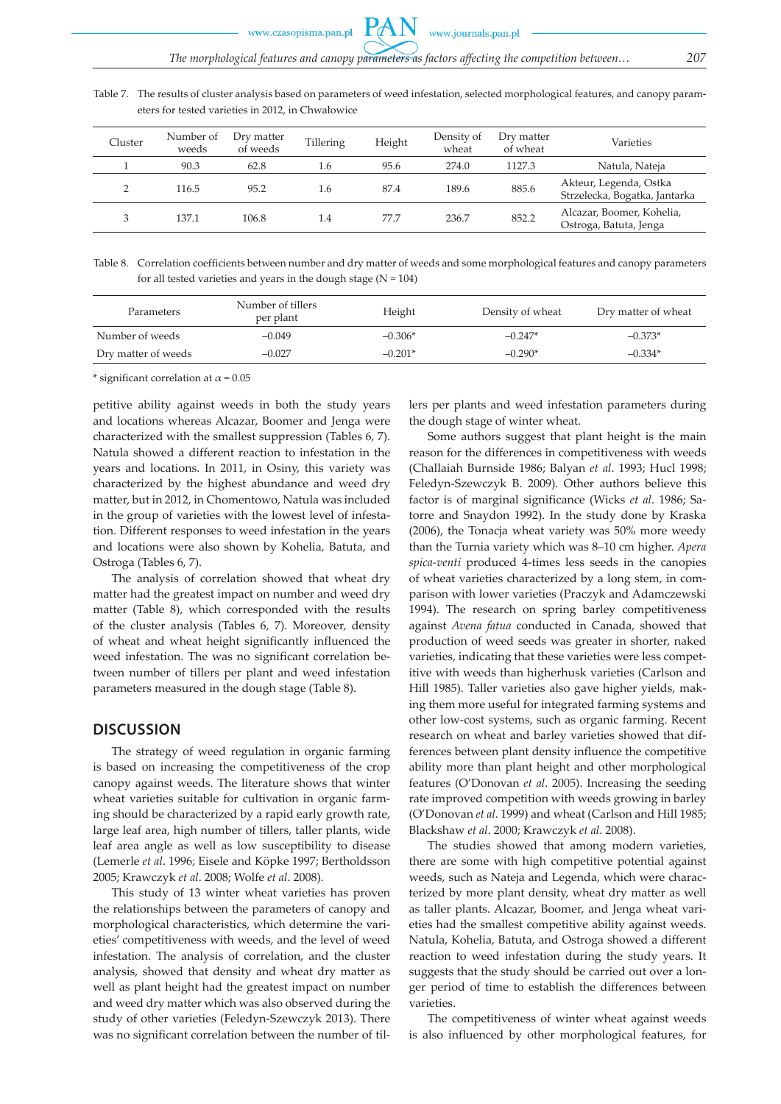Table 7. The results of cluster analysis based on parameters of weed infestation, selected morphological features, and canopy parameters for tested varieties in 2012, in Chwałowice

| 90.3       | 62.8  | 1.6 | 95.6 |       |        |                                                         |
|------------|-------|-----|------|-------|--------|---------------------------------------------------------|
|            |       |     |      | 274.0 | 1127.3 | Natula, Nateja                                          |
| 116.5      | 95.2  | 1.6 | 87.4 | 189.6 | 885.6  | Akteur, Legenda, Ostka<br>Strzelecka, Bogatka, Jantarka |
| 3<br>137.1 | 106.8 | 1.4 | 77.7 | 236.7 | 852.2  | Alcazar, Boomer, Kohelia,<br>Ostroga, Batuta, Jenga     |

Table 8. Correlation coefficients between number and dry matter of weeds and some morphological features and canopy parameters for all tested varieties and years in the dough stage  $(N = 104)$ 

| Parameters          | Number of tillers<br>per plant | Height    | Density of wheat | Dry matter of wheat |
|---------------------|--------------------------------|-----------|------------------|---------------------|
| Number of weeds     | $-0.049$                       | $-0.306*$ | $-0.247*$        | $-0.373*$           |
| Dry matter of weeds | $-0.027$                       | $-0.201*$ | $-0.290*$        | $-0.334*$           |

\* significant correlation at  $\alpha$  = 0.05

petitive ability against weeds in both the study years and locations whereas Alcazar, Boomer and Jenga were characterized with the smallest suppression (Tables 6, 7). Natula showed a different reaction to infestation in the years and locations. In 2011, in Osiny, this variety was characterized by the highest abundance and weed dry matter, but in 2012, in Chomentowo, Natula was included in the group of varieties with the lowest level of infestation. Different responses to weed infestation in the years and locations were also shown by Kohelia, Batuta, and Ostroga (Tables 6, 7).

The analysis of correlation showed that wheat dry matter had the greatest impact on number and weed dry matter (Table 8), which corresponded with the results of the cluster analysis (Tables 6, 7). Moreover, density of wheat and wheat height significantly influenced the weed infestation. The was no significant correlation between number of tillers per plant and weed infestation parameters measured in the dough stage (Table 8).

#### **DISCUSSION**

The strategy of weed regulation in organic farming is based on increasing the competitiveness of the crop canopy against weeds. The literature shows that winter wheat varieties suitable for cultivation in organic farming should be characterized by a rapid early growth rate, large leaf area, high number of tillers, taller plants, wide leaf area angle as well as low susceptibility to disease (Lemerle *et al*. 1996; Eisele and Köpke 1997; Bertholdsson 2005; Krawczyk *et al*. 2008; Wolfe *et al*. 2008).

This study of 13 winter wheat varieties has proven the relationships between the parameters of canopy and morphological characteristics, which determine the varieties' competitiveness with weeds, and the level of weed infestation. The analysis of correlation, and the cluster analysis, showed that density and wheat dry matter as well as plant height had the greatest impact on number and weed dry matter which was also observed during the study of other varieties (Feledyn-Szewczyk 2013). There was no significant correlation between the number of tillers per plants and weed infestation parameters during the dough stage of winter wheat.

Some authors suggest that plant height is the main reason for the differences in competitiveness with weeds (Challaiah Burnside 1986; Balyan *et al*. 1993; Hucl 1998; Feledyn-Szewczyk B. 2009). Other authors believe this factor is of marginal significance (Wicks *et al*. 1986; Satorre and Snaydon 1992). In the study done by Kraska (2006), the Tonacja wheat variety was 50% more weedy than the Turnia variety which was 8–10 cm higher. *Apera spica-venti* produced 4-times less seeds in the canopies of wheat varieties characterized by a long stem, in comparison with lower varieties (Praczyk and Adamczewski 1994). The research on spring barley competitiveness against *Avena fatua* conducted in Canada, showed that production of weed seeds was greater in shorter, naked varieties, indicating that these varieties were less competitive with weeds than higherhusk varieties (Carlson and Hill 1985). Taller varieties also gave higher yields, making them more useful for integrated farming systems and other low-cost systems, such as organic farming. Recent research on wheat and barley varieties showed that differences between plant density influence the competitive ability more than plant height and other morphological features (O'Donovan *et al*. 2005). Increasing the seeding rate improved competition with weeds growing in barley (O'Donovan *et al*. 1999) and wheat (Carlson and Hill 1985; Blackshaw *et al*. 2000; Krawczyk *et al*. 2008).

The studies showed that among modern varieties, there are some with high competitive potential against weeds, such as Nateja and Legenda, which were characterized by more plant density, wheat dry matter as well as taller plants. Alcazar, Boomer, and Jenga wheat varieties had the smallest competitive ability against weeds. Natula, Kohelia, Batuta, and Ostroga showed a different reaction to weed infestation during the study years. It suggests that the study should be carried out over a longer period of time to establish the differences between varieties.

The competitiveness of winter wheat against weeds is also influenced by other morphological features, for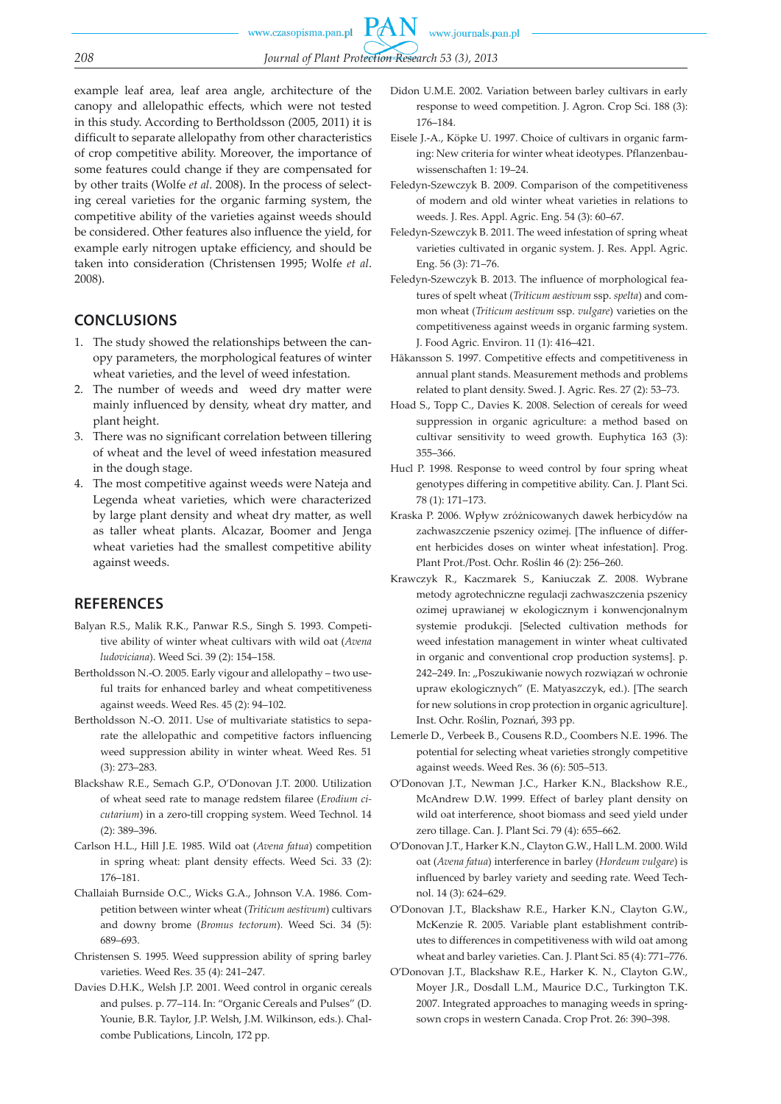*208 Journal of Plant Protection Research 53 (3), 2013* example leaf area, leaf area angle, architecture of the canopy and allelopathic effects, which were not tested in this study. According to Bertholdsson (2005, 2011) it is difficult to separate allelopathy from other characteristics of crop competitive ability. Moreover, the importance of

some features could change if they are compensated for by other traits (Wolfe *et al*. 2008). In the process of selecting cereal varieties for the organic farming system, the competitive ability of the varieties against weeds should be considered. Other features also influence the yield, for example early nitrogen uptake efficiency, and should be taken into consideration (Christensen 1995; Wolfe *et al*. 2008).

# **CONCLUSIONS**

- 1. The study showed the relationships between the canopy parameters, the morphological features of winter wheat varieties, and the level of weed infestation.
- 2. The number of weeds and weed dry matter were mainly influenced by density, wheat dry matter, and plant height.
- 3. There was no significant correlation between tillering of wheat and the level of weed infestation measured in the dough stage.
- 4. The most competitive against weeds were Nateja and Legenda wheat varieties, which were characterized by large plant density and wheat dry matter, as well as taller wheat plants. Alcazar, Boomer and Jenga wheat varieties had the smallest competitive ability against weeds.

# **REFERENCES**

- Balyan R.S., Malik R.K., Panwar R.S., Singh S. 1993. Competitive ability of winter wheat cultivars with wild oat (*Avena ludoviciana*). Weed Sci. 39 (2): 154–158.
- Bertholdsson N.-O. 2005. Early vigour and allelopathy two useful traits for enhanced barley and wheat competitiveness against weeds. Weed Res. 45 (2): 94–102.
- Bertholdsson N.-O. 2011. Use of multivariate statistics to separate the allelopathic and competitive factors influencing weed suppression ability in winter wheat. Weed Res. 51 (3): 273–283.
- Blackshaw R.E., Semach G.P., O'Donovan J.T. 2000. Utilization of wheat seed rate to manage redstem filaree (*Erodium cicutarium*) in a zero-till cropping system. Weed Technol. 14 (2): 389–396.
- Carlson H.L., Hill J.E. 1985. Wild oat (*Avena fatua*) competition in spring wheat: plant density effects. Weed Sci. 33 (2): 176–181.
- Challaiah Burnside O.C., Wicks G.A., Johnson V.A. 1986. Competition between winter wheat (*Triticum aestivum*) cultivars and downy brome (*Bromus tectorum*). Weed Sci. 34 (5): 689–693.
- Christensen S. 1995. Weed suppression ability of spring barley varieties. Weed Res. 35 (4): 241–247.
- Davies D.H.K., Welsh J.P. 2001. Weed control in organic cereals and pulses. p. 77–114. In: "Organic Cereals and Pulses" (D. Younie, B.R. Taylor, J.P. Welsh, J.M. Wilkinson, eds.). Chalcombe Publications, Lincoln, 172 pp.

Didon U.M.E. 2002. Variation between barley cultivars in early response to weed competition. J. Agron. Crop Sci. 188 (3): 176–184.

www.journals.pan.pl

- Eisele J.-A., Köpke U. 1997. Choice of cultivars in organic farming: New criteria for winter wheat ideotypes. Pflanzenbauwissenschaften 1: 19–24.
- Feledyn-Szewczyk B. 2009. Comparison of the competitiveness of modern and old winter wheat varieties in relations to weeds. J. Res. Appl. Agric. Eng. 54 (3): 60–67.
- Feledyn-Szewczyk B. 2011. The weed infestation of spring wheat varieties cultivated in organic system. J. Res. Appl. Agric. Eng. 56 (3): 71–76.
- Feledyn-Szewczyk B. 2013. The influence of morphological features of spelt wheat (*Triticum aestivum* ssp. *spelta*) and common wheat (*Triticum aestivum* ssp. *vulgare*) varieties on the competitiveness against weeds in organic farming system. J. Food Agric. Environ. 11 (1): 416–421.
- Håkansson S. 1997. Competitive effects and competitiveness in annual plant stands. Measurement methods and problems related to plant density. Swed. J. Agric. Res. 27 (2): 53–73.
- Hoad S., Topp C., Davies K. 2008. Selection of cereals for weed suppression in organic agriculture: a method based on cultivar sensitivity to weed growth. Euphytica 163 (3): 355–366.
- Hucl P. 1998. Response to weed control by four spring wheat genotypes differing in competitive ability. Can. J. Plant Sci. 78 (1): 171–173.
- Kraska P. 2006. Wpływ zróżnicowanych dawek herbicydów na zachwaszczenie pszenicy ozimej. [The influence of different herbicides doses on winter wheat infestation]. Prog. Plant Prot./Post. Ochr. Roślin 46 (2): 256–260.
- Krawczyk R., Kaczmarek S., Kaniuczak Z. 2008. Wybrane metody agrotechniczne regulacji zachwaszczenia pszenicy ozimej uprawianej w ekologicznym i konwencjonalnym systemie produkcji. [Selected cultivation methods for weed infestation management in winter wheat cultivated in organic and conventional crop production systems]. p. 242–249. In: "Poszukiwanie nowych rozwiązań w ochronie upraw ekologicznych" (E. Matyaszczyk, ed.). [The search for new solutions in crop protection in organic agriculture]. Inst. Ochr. Roślin, Poznań, 393 pp.
- Lemerle D., Verbeek B., Cousens R.D., Coombers N.E. 1996. The potential for selecting wheat varieties strongly competitive against weeds. Weed Res. 36 (6): 505–513.
- O'Donovan J.T., Newman J.C., Harker K.N., Blackshow R.E., McAndrew D.W. 1999. Effect of barley plant density on wild oat interference, shoot biomass and seed yield under zero tillage. Can. J. Plant Sci. 79 (4): 655–662.
- O'Donovan J.T., Harker K.N., Clayton G.W., Hall L.M. 2000. Wild oat (*Avena fatua*) interference in barley (*Hordeum vulgare*) is influenced by barley variety and seeding rate. Weed Technol. 14 (3): 624–629.
- O'Donovan J.T., Blackshaw R.E., Harker K.N., Clayton G.W., McKenzie R. 2005. Variable plant establishment contributes to differences in competitiveness with wild oat among wheat and barley varieties. Can. J. Plant Sci. 85 (4): 771–776.
- O'Donovan J.T., Blackshaw R.E., Harker K. N., Clayton G.W., Moyer J.R., Dosdall L.M., Maurice D.C., Turkington T.K. 2007. Integrated approaches to managing weeds in springsown crops in western Canada. Crop Prot. 26: 390–398.